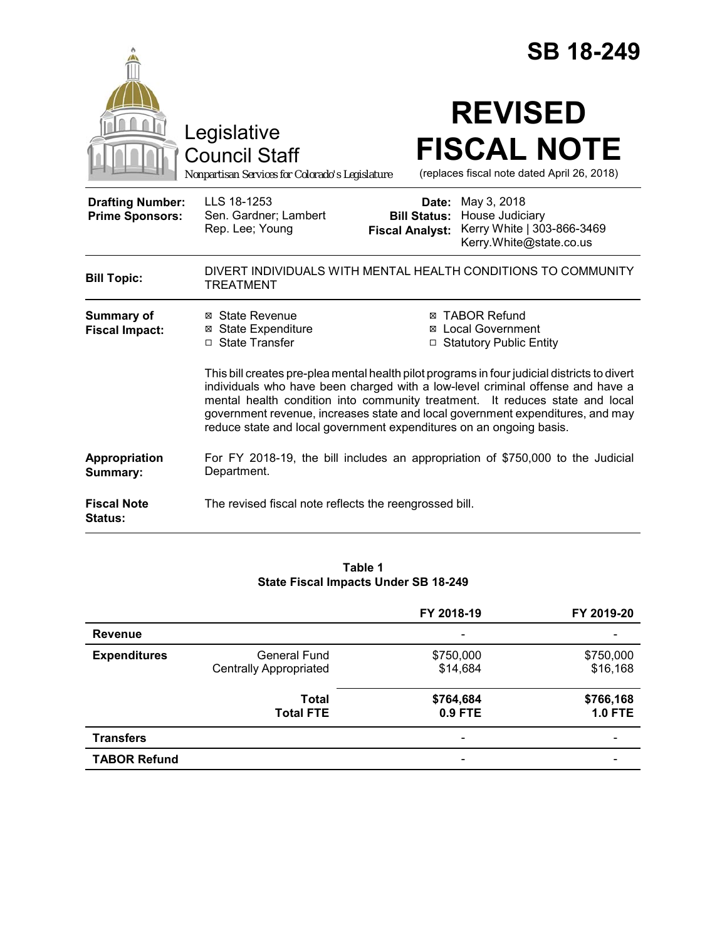|                                                   |                                                                                                                                                                                                                                       | <b>SB 18-249</b>                                                                                                                                                                                                                                           |  |
|---------------------------------------------------|---------------------------------------------------------------------------------------------------------------------------------------------------------------------------------------------------------------------------------------|------------------------------------------------------------------------------------------------------------------------------------------------------------------------------------------------------------------------------------------------------------|--|
|                                                   | Legislative<br><b>Council Staff</b><br>Nonpartisan Services for Colorado's Legislature                                                                                                                                                | <b>REVISED</b><br><b>FISCAL NOTE</b><br>(replaces fiscal note dated April 26, 2018)                                                                                                                                                                        |  |
| <b>Drafting Number:</b><br><b>Prime Sponsors:</b> | LLS 18-1253<br>Sen. Gardner; Lambert<br>Rep. Lee; Young                                                                                                                                                                               | May 3, 2018<br>Date:<br>House Judiciary<br><b>Bill Status:</b><br>Kerry White   303-866-3469<br><b>Fiscal Analyst:</b><br>Kerry.White@state.co.us                                                                                                          |  |
| <b>Bill Topic:</b>                                | <b>TREATMENT</b>                                                                                                                                                                                                                      | DIVERT INDIVIDUALS WITH MENTAL HEALTH CONDITIONS TO COMMUNITY                                                                                                                                                                                              |  |
| <b>Summary of</b><br><b>Fiscal Impact:</b>        | ⊠ State Revenue<br><b>⊠</b> State Expenditure<br>□ State Transfer                                                                                                                                                                     | <b>⊠ TABOR Refund</b><br>⊠ Local Government<br>□ Statutory Public Entity<br>This bill creates pre-plea mental health pilot programs in four judicial districts to divert<br>individuals who have been charged with a low-level criminal offense and have a |  |
|                                                   | mental health condition into community treatment. It reduces state and local<br>government revenue, increases state and local government expenditures, and may<br>reduce state and local government expenditures on an ongoing basis. |                                                                                                                                                                                                                                                            |  |
| Appropriation<br>Summary:                         | Department.                                                                                                                                                                                                                           | For FY 2018-19, the bill includes an appropriation of \$750,000 to the Judicial                                                                                                                                                                            |  |
| <b>Fiscal Note</b><br>Status:                     | The revised fiscal note reflects the reengrossed bill.                                                                                                                                                                                |                                                                                                                                                                                                                                                            |  |

#### **Table 1 State Fiscal Impacts Under SB 18-249**

|                     |                                                      | FY 2018-19               | FY 2019-20                  |
|---------------------|------------------------------------------------------|--------------------------|-----------------------------|
| <b>Revenue</b>      |                                                      | $\overline{\phantom{0}}$ |                             |
| <b>Expenditures</b> | <b>General Fund</b><br><b>Centrally Appropriated</b> | \$750,000<br>\$14,684    | \$750,000<br>\$16,168       |
|                     | Total<br><b>Total FTE</b>                            | \$764,684<br>0.9 FTE     | \$766,168<br><b>1.0 FTE</b> |
| <b>Transfers</b>    |                                                      |                          |                             |
| <b>TABOR Refund</b> |                                                      |                          |                             |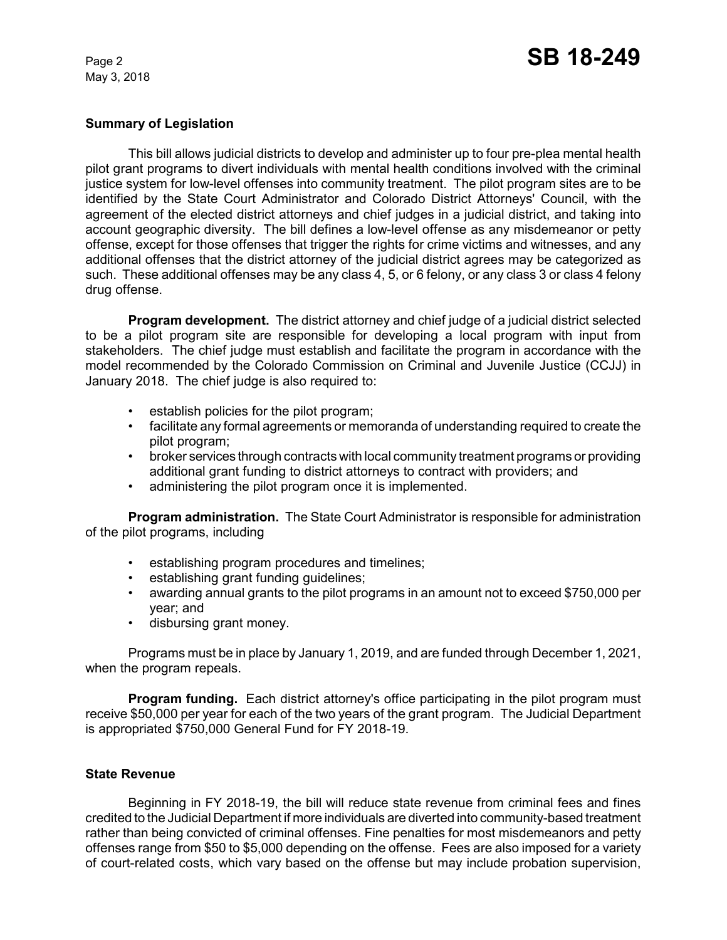## **Summary of Legislation**

This bill allows judicial districts to develop and administer up to four pre-plea mental health pilot grant programs to divert individuals with mental health conditions involved with the criminal justice system for low-level offenses into community treatment. The pilot program sites are to be identified by the State Court Administrator and Colorado District Attorneys' Council, with the agreement of the elected district attorneys and chief judges in a judicial district, and taking into account geographic diversity. The bill defines a low-level offense as any misdemeanor or petty offense, except for those offenses that trigger the rights for crime victims and witnesses, and any additional offenses that the district attorney of the judicial district agrees may be categorized as such. These additional offenses may be any class 4, 5, or 6 felony, or any class 3 or class 4 felony drug offense.

**Program development.** The district attorney and chief judge of a judicial district selected to be a pilot program site are responsible for developing a local program with input from stakeholders. The chief judge must establish and facilitate the program in accordance with the model recommended by the Colorado Commission on Criminal and Juvenile Justice (CCJJ) in January 2018. The chief judge is also required to:

- establish policies for the pilot program;
- facilitate any formal agreements or memoranda of understanding required to create the pilot program;
- broker services through contracts with local community treatment programs or providing additional grant funding to district attorneys to contract with providers; and
- administering the pilot program once it is implemented.

**Program administration.** The State Court Administrator is responsible for administration of the pilot programs, including

- establishing program procedures and timelines;
- establishing grant funding guidelines;
- awarding annual grants to the pilot programs in an amount not to exceed \$750,000 per year; and
- disbursing grant money.

Programs must be in place by January 1, 2019, and are funded through December 1, 2021, when the program repeals.

**Program funding.** Each district attorney's office participating in the pilot program must receive \$50,000 per year for each of the two years of the grant program. The Judicial Department is appropriated \$750,000 General Fund for FY 2018-19.

### **State Revenue**

Beginning in FY 2018-19, the bill will reduce state revenue from criminal fees and fines credited to the Judicial Department if more individuals are diverted into community-based treatment rather than being convicted of criminal offenses. Fine penalties for most misdemeanors and petty offenses range from \$50 to \$5,000 depending on the offense. Fees are also imposed for a variety of court-related costs, which vary based on the offense but may include probation supervision,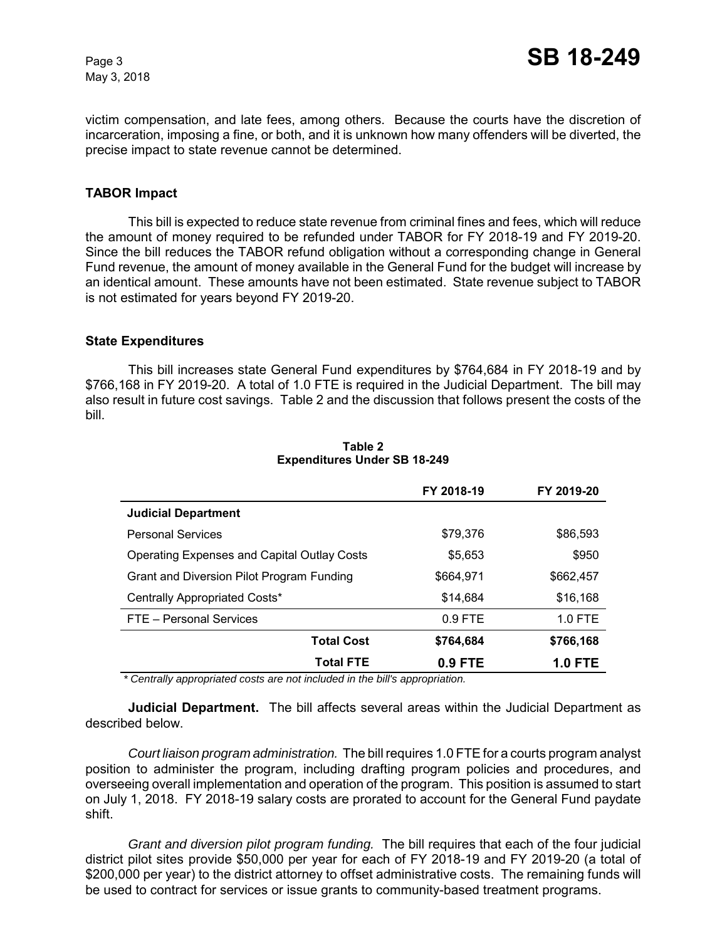victim compensation, and late fees, among others. Because the courts have the discretion of incarceration, imposing a fine, or both, and it is unknown how many offenders will be diverted, the precise impact to state revenue cannot be determined.

# **TABOR Impact**

This bill is expected to reduce state revenue from criminal fines and fees, which will reduce the amount of money required to be refunded under TABOR for FY 2018-19 and FY 2019-20. Since the bill reduces the TABOR refund obligation without a corresponding change in General Fund revenue, the amount of money available in the General Fund for the budget will increase by an identical amount. These amounts have not been estimated. State revenue subject to TABOR is not estimated for years beyond FY 2019-20.

#### **State Expenditures**

This bill increases state General Fund expenditures by \$764,684 in FY 2018-19 and by \$766,168 in FY 2019-20. A total of 1.0 FTE is required in the Judicial Department. The bill may also result in future cost savings. Table 2 and the discussion that follows present the costs of the bill.

|                                                    | FY 2018-19 | FY 2019-20     |
|----------------------------------------------------|------------|----------------|
| <b>Judicial Department</b>                         |            |                |
| <b>Personal Services</b>                           | \$79,376   | \$86,593       |
| <b>Operating Expenses and Capital Outlay Costs</b> | \$5,653    | \$950          |
| Grant and Diversion Pilot Program Funding          | \$664,971  | \$662,457      |
| Centrally Appropriated Costs*                      | \$14,684   | \$16,168       |
| FTE - Personal Services                            | $0.9$ FTE  | $1.0$ FTE      |
| <b>Total Cost</b>                                  | \$764,684  | \$766,168      |
| <b>Total FTE</b>                                   | 0.9 FTE    | <b>1.0 FTE</b> |

#### **Table 2 Expenditures Under SB 18-249**

 *\* Centrally appropriated costs are not included in the bill's appropriation.*

**Judicial Department.** The bill affects several areas within the Judicial Department as described below.

*Court liaison program administration.*The bill requires 1.0 FTE for a courts program analyst position to administer the program, including drafting program policies and procedures, and overseeing overall implementation and operation of the program. This position is assumed to start on July 1, 2018. FY 2018-19 salary costs are prorated to account for the General Fund paydate shift.

*Grant and diversion pilot program funding.* The bill requires that each of the four judicial district pilot sites provide \$50,000 per year for each of FY 2018-19 and FY 2019-20 (a total of \$200,000 per year) to the district attorney to offset administrative costs. The remaining funds will be used to contract for services or issue grants to community-based treatment programs.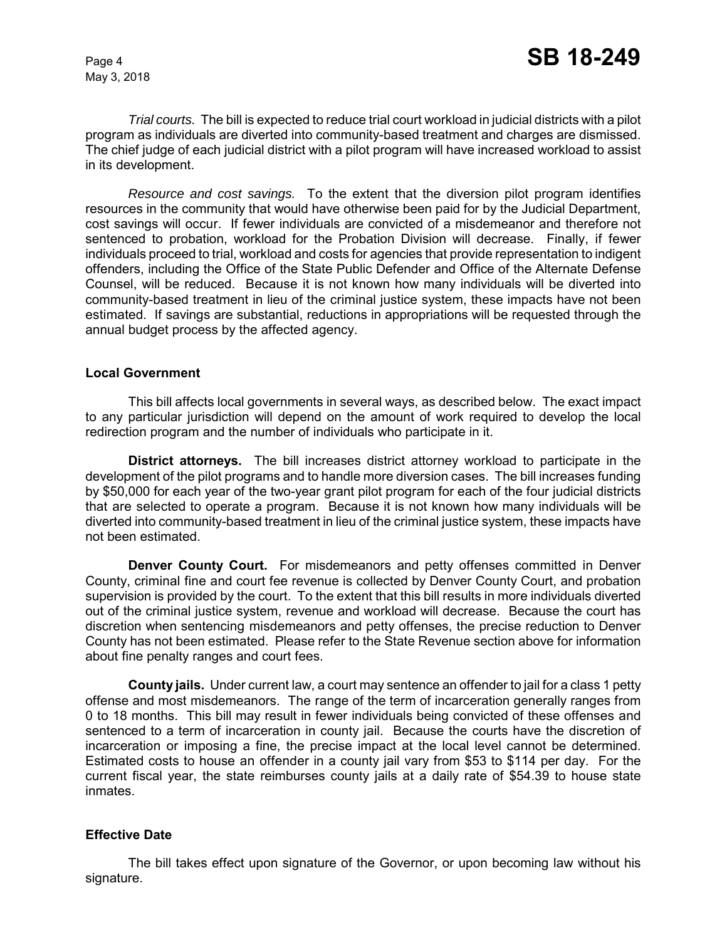*Trial courts.* The bill is expected to reduce trial court workload in judicial districts with a pilot program as individuals are diverted into community-based treatment and charges are dismissed. The chief judge of each judicial district with a pilot program will have increased workload to assist in its development.

*Resource and cost savings.* To the extent that the diversion pilot program identifies resources in the community that would have otherwise been paid for by the Judicial Department, cost savings will occur. If fewer individuals are convicted of a misdemeanor and therefore not sentenced to probation, workload for the Probation Division will decrease. Finally, if fewer individuals proceed to trial, workload and costs for agencies that provide representation to indigent offenders, including the Office of the State Public Defender and Office of the Alternate Defense Counsel, will be reduced. Because it is not known how many individuals will be diverted into community-based treatment in lieu of the criminal justice system, these impacts have not been estimated. If savings are substantial, reductions in appropriations will be requested through the annual budget process by the affected agency.

### **Local Government**

This bill affects local governments in several ways, as described below. The exact impact to any particular jurisdiction will depend on the amount of work required to develop the local redirection program and the number of individuals who participate in it.

**District attorneys.** The bill increases district attorney workload to participate in the development of the pilot programs and to handle more diversion cases. The bill increases funding by \$50,000 for each year of the two-year grant pilot program for each of the four judicial districts that are selected to operate a program. Because it is not known how many individuals will be diverted into community-based treatment in lieu of the criminal justice system, these impacts have not been estimated.

**Denver County Court.** For misdemeanors and petty offenses committed in Denver County, criminal fine and court fee revenue is collected by Denver County Court, and probation supervision is provided by the court. To the extent that this bill results in more individuals diverted out of the criminal justice system, revenue and workload will decrease. Because the court has discretion when sentencing misdemeanors and petty offenses, the precise reduction to Denver County has not been estimated. Please refer to the State Revenue section above for information about fine penalty ranges and court fees.

**County jails.** Under current law, a court may sentence an offender to jail for a class 1 petty offense and most misdemeanors. The range of the term of incarceration generally ranges from 0 to 18 months. This bill may result in fewer individuals being convicted of these offenses and sentenced to a term of incarceration in county jail. Because the courts have the discretion of incarceration or imposing a fine, the precise impact at the local level cannot be determined. Estimated costs to house an offender in a county jail vary from \$53 to \$114 per day. For the current fiscal year, the state reimburses county jails at a daily rate of \$54.39 to house state inmates.

# **Effective Date**

The bill takes effect upon signature of the Governor, or upon becoming law without his signature.